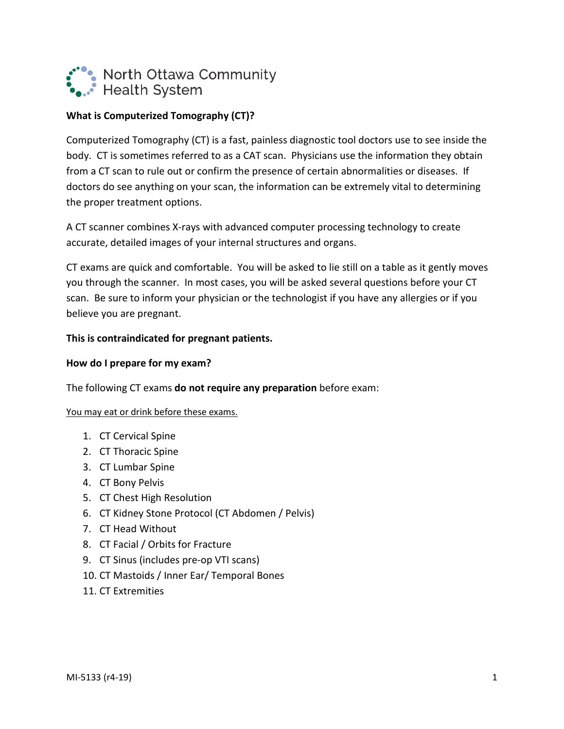

# **What is Computerized Tomography (CT)?**

Computerized Tomography (CT) is a fast, painless diagnostic tool doctors use to see inside the body. CT is sometimes referred to as a CAT scan. Physicians use the information they obtain from a CT scan to rule out or confirm the presence of certain abnormalities or diseases. If doctors do see anything on your scan, the information can be extremely vital to determining the proper treatment options.

A CT scanner combines X-rays with advanced computer processing technology to create accurate, detailed images of your internal structures and organs.

CT exams are quick and comfortable. You will be asked to lie still on a table as it gently moves you through the scanner. In most cases, you will be asked several questions before your CT scan. Be sure to inform your physician or the technologist if you have any allergies or if you believe you are pregnant.

# **This is contraindicated for pregnant patients.**

# **How do I prepare for my exam?**

The following CT exams **do not require any preparation** before exam:

### You may eat or drink before these exams.

- 1. CT Cervical Spine
- 2. CT Thoracic Spine
- 3. CT Lumbar Spine
- 4. CT Bony Pelvis
- 5. CT Chest High Resolution
- 6. CT Kidney Stone Protocol (CT Abdomen / Pelvis)
- 7. CT Head Without
- 8. CT Facial / Orbits for Fracture
- 9. CT Sinus (includes pre-op VTI scans)
- 10. CT Mastoids / Inner Ear/ Temporal Bones
- 11. CT Extremities